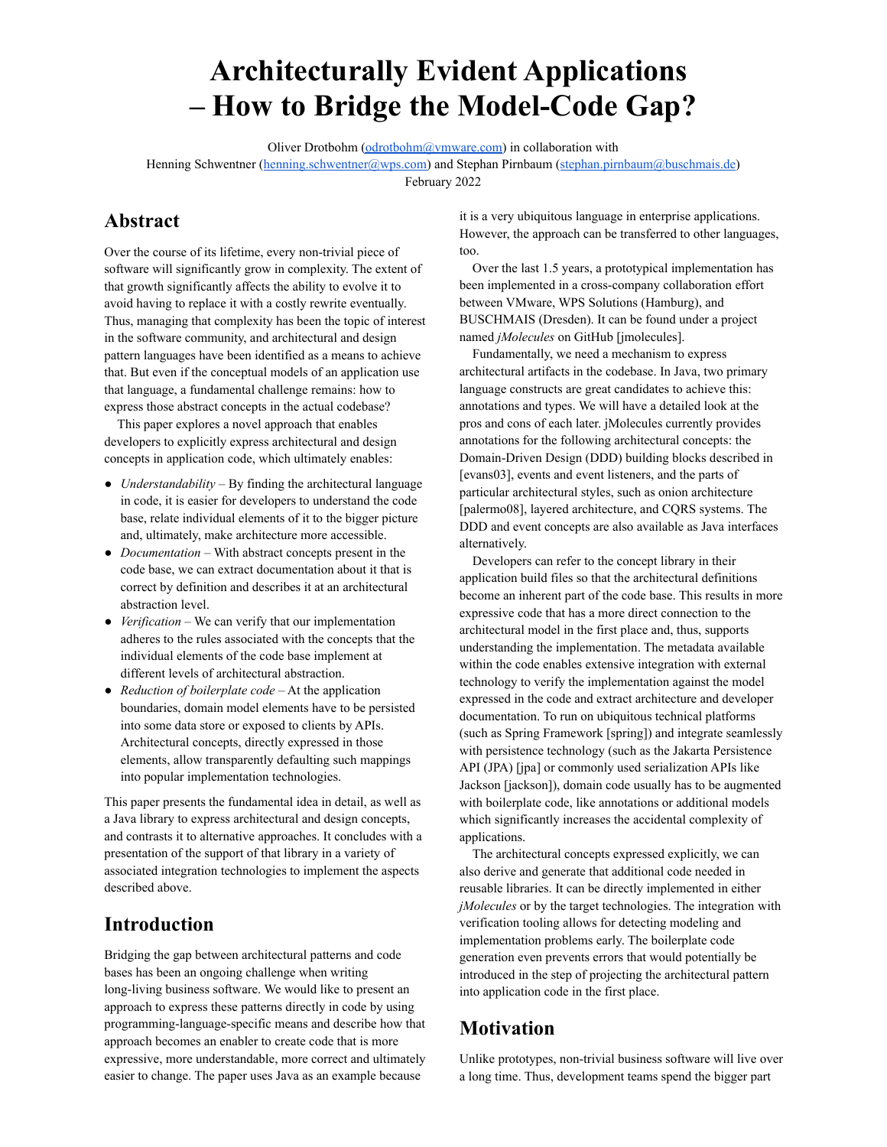# **Architecturally Evident Applications – How to Bridge the Model-Code Gap?**

Oliver Drotbohm [\(odrotbohm@vmware.com\)](mailto:odrotbohm@vmware.com) in collaboration with Henning Schwentner (henning schwentner@wps.com) and Stephan Pirnbaum ([stephan.pirnbaum@buschmais.de\)](mailto:stephan.pirnbaum@buschmais.de) February 2022

# **Abstract**

Over the course of its lifetime, every non-trivial piece of software will significantly grow in complexity. The extent of that growth significantly affects the ability to evolve it to avoid having to replace it with a costly rewrite eventually. Thus, managing that complexity has been the topic of interest in the software community, and architectural and design pattern languages have been identified as a means to achieve that. But even if the conceptual models of an application use that language, a fundamental challenge remains: how to express those abstract concepts in the actual codebase?

This paper explores a novel approach that enables developers to explicitly express architectural and design concepts in application code, which ultimately enables:

- *Understandability* By finding the architectural language in code, it is easier for developers to understand the code base, relate individual elements of it to the bigger picture and, ultimately, make architecture more accessible.
- *Documentation* With abstract concepts present in the code base, we can extract documentation about it that is correct by definition and describes it at an architectural abstraction level.
- *Verification* We can verify that our implementation adheres to the rules associated with the concepts that the individual elements of the code base implement at different levels of architectural abstraction.
- *Reduction of boilerplate code* At the application boundaries, domain model elements have to be persisted into some data store or exposed to clients by APIs. Architectural concepts, directly expressed in those elements, allow transparently defaulting such mappings into popular implementation technologies.

This paper presents the fundamental idea in detail, as well as a Java library to express architectural and design concepts, and contrasts it to alternative approaches. It concludes with a presentation of the support of that library in a variety of associated integration technologies to implement the aspects described above.

### **Introduction**

Bridging the gap between architectural patterns and code bases has been an ongoing challenge when writing long-living business software. We would like to present an approach to express these patterns directly in code by using programming-language-specific means and describe how that approach becomes an enabler to create code that is more expressive, more understandable, more correct and ultimately easier to change. The paper uses Java as an example because

it is a very ubiquitous language in enterprise applications. However, the approach can be transferred to other languages, too.

Over the last 1.5 years, a prototypical implementation has been implemented in a cross-company collaboration effort between VMware, WPS Solutions (Hamburg), and BUSCHMAIS (Dresden). It can be found under a project named *jMolecules* on GitHub [jmolecules].

Fundamentally, we need a mechanism to express architectural artifacts in the codebase. In Java, two primary language constructs are great candidates to achieve this: annotations and types. We will have a detailed look at the pros and cons of each later. jMolecules currently provides annotations for the following architectural concepts: the Domain-Driven Design (DDD) building blocks described in [evans03], events and event listeners, and the parts of particular architectural styles, such as onion architecture [palermo08], layered architecture, and CQRS systems. The DDD and event concepts are also available as Java interfaces alternatively.

Developers can refer to the concept library in their application build files so that the architectural definitions become an inherent part of the code base. This results in more expressive code that has a more direct connection to the architectural model in the first place and, thus, supports understanding the implementation. The metadata available within the code enables extensive integration with external technology to verify the implementation against the model expressed in the code and extract architecture and developer documentation. To run on ubiquitous technical platforms (such as Spring Framework [spring]) and integrate seamlessly with persistence technology (such as the Jakarta Persistence API (JPA) [jpa] or commonly used serialization APIs like Jackson [jackson]), domain code usually has to be augmented with boilerplate code, like annotations or additional models which significantly increases the accidental complexity of applications.

The architectural concepts expressed explicitly, we can also derive and generate that additional code needed in reusable libraries. It can be directly implemented in either *jMolecules* or by the target technologies. The integration with verification tooling allows for detecting modeling and implementation problems early. The boilerplate code generation even prevents errors that would potentially be introduced in the step of projecting the architectural pattern into application code in the first place.

# **Motivation**

Unlike prototypes, non-trivial business software will live over a long time. Thus, development teams spend the bigger part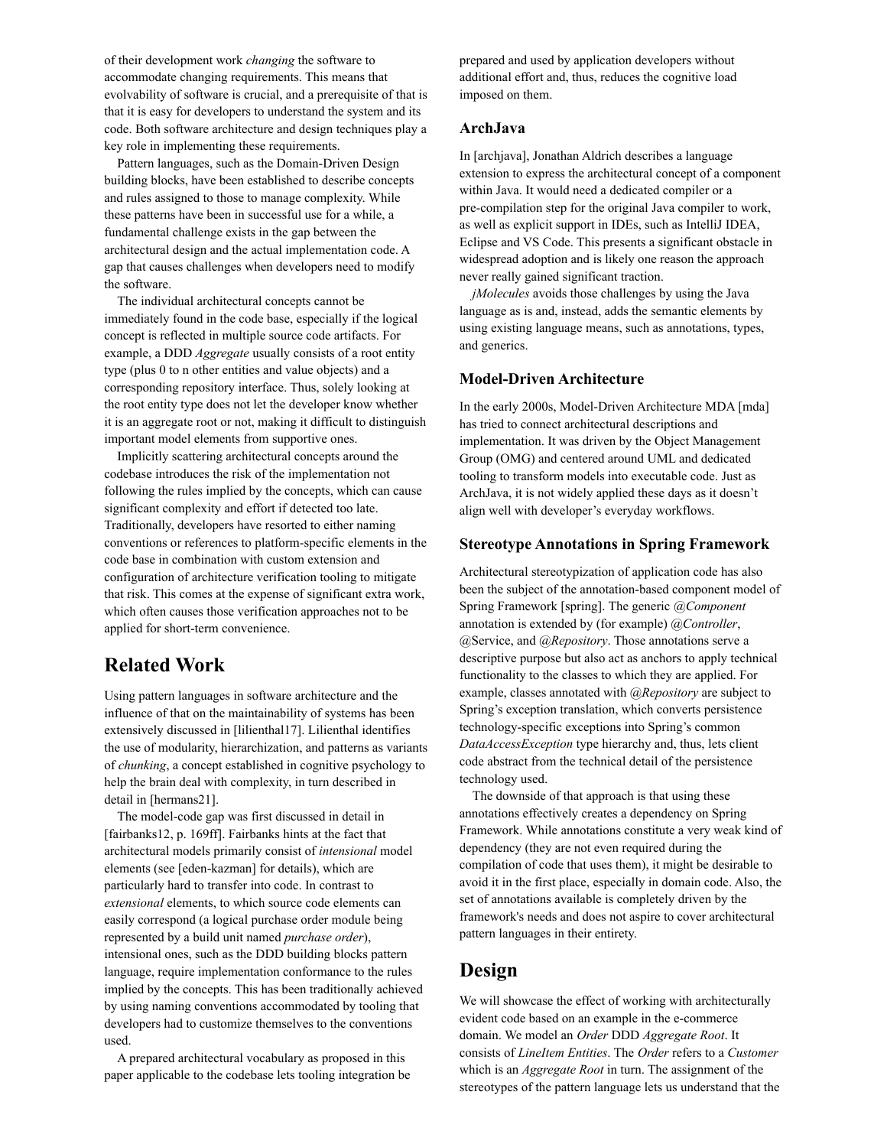of their development work *changing* the software to accommodate changing requirements. This means that evolvability of software is crucial, and a prerequisite of that is that it is easy for developers to understand the system and its code. Both software architecture and design techniques play a key role in implementing these requirements.

Pattern languages, such as the Domain-Driven Design building blocks, have been established to describe concepts and rules assigned to those to manage complexity. While these patterns have been in successful use for a while, a fundamental challenge exists in the gap between the architectural design and the actual implementation code. A gap that causes challenges when developers need to modify the software.

The individual architectural concepts cannot be immediately found in the code base, especially if the logical concept is reflected in multiple source code artifacts. For example, a DDD *Aggregate* usually consists of a root entity type (plus 0 to n other entities and value objects) and a corresponding repository interface. Thus, solely looking at the root entity type does not let the developer know whether it is an aggregate root or not, making it difficult to distinguish important model elements from supportive ones.

Implicitly scattering architectural concepts around the codebase introduces the risk of the implementation not following the rules implied by the concepts, which can cause significant complexity and effort if detected too late. Traditionally, developers have resorted to either naming conventions or references to platform-specific elements in the code base in combination with custom extension and configuration of architecture verification tooling to mitigate that risk. This comes at the expense of significant extra work, which often causes those verification approaches not to be applied for short-term convenience.

### **Related Work**

Using pattern languages in software architecture and the influence of that on the maintainability of systems has been extensively discussed in [lilienthal17]. Lilienthal identifies the use of modularity, hierarchization, and patterns as variants of *chunking*, a concept established in cognitive psychology to help the brain deal with complexity, in turn described in detail in [hermans21].

The model-code gap was first discussed in detail in [fairbanks12, p. 169ff]. Fairbanks hints at the fact that architectural models primarily consist of *intensional* model elements (see [eden-kazman] for details), which are particularly hard to transfer into code. In contrast to *extensional* elements, to which source code elements can easily correspond (a logical purchase order module being represented by a build unit named *purchase order*), intensional ones, such as the DDD building blocks pattern language, require implementation conformance to the rules implied by the concepts. This has been traditionally achieved by using naming conventions accommodated by tooling that developers had to customize themselves to the conventions used.

A prepared architectural vocabulary as proposed in this paper applicable to the codebase lets tooling integration be prepared and used by application developers without additional effort and, thus, reduces the cognitive load imposed on them.

#### **ArchJava**

In [archjava], Jonathan Aldrich describes a language extension to express the architectural concept of a component within Java. It would need a dedicated compiler or a pre-compilation step for the original Java compiler to work, as well as explicit support in IDEs, such as IntelliJ IDEA, Eclipse and VS Code. This presents a significant obstacle in widespread adoption and is likely one reason the approach never really gained significant traction.

*jMolecules* avoids those challenges by using the Java language as is and, instead, adds the semantic elements by using existing language means, such as annotations, types, and generics.

#### **Model-Driven Architecture**

In the early 2000s, Model-Driven Architecture MDA [mda] has tried to connect architectural descriptions and implementation. It was driven by the Object Management Group (OMG) and centered around UML and dedicated tooling to transform models into executable code. Just as ArchJava, it is not widely applied these days as it doesn't align well with developer's everyday workflows.

#### **Stereotype Annotations in Spring Framework**

Architectural stereotypization of application code has also been the subject of the annotation-based component model of Spring Framework [spring]. The generic *@Component* annotation is extended by (for example) *@Controller*, @Service, and *@Repository*. Those annotations serve a descriptive purpose but also act as anchors to apply technical functionality to the classes to which they are applied. For example, classes annotated with *@Repository* are subject to Spring's exception translation, which converts persistence technology-specific exceptions into Spring's common *DataAccessException* type hierarchy and, thus, lets client code abstract from the technical detail of the persistence technology used.

The downside of that approach is that using these annotations effectively creates a dependency on Spring Framework. While annotations constitute a very weak kind of dependency (they are not even required during the compilation of code that uses them), it might be desirable to avoid it in the first place, especially in domain code. Also, the set of annotations available is completely driven by the framework's needs and does not aspire to cover architectural pattern languages in their entirety.

### **Design**

We will showcase the effect of working with architecturally evident code based on an example in the e-commerce domain. We model an *Order* DDD *Aggregate Root*. It consists of *LineItem Entities*. The *Order* refers to a *Customer* which is an *Aggregate Root* in turn. The assignment of the stereotypes of the pattern language lets us understand that the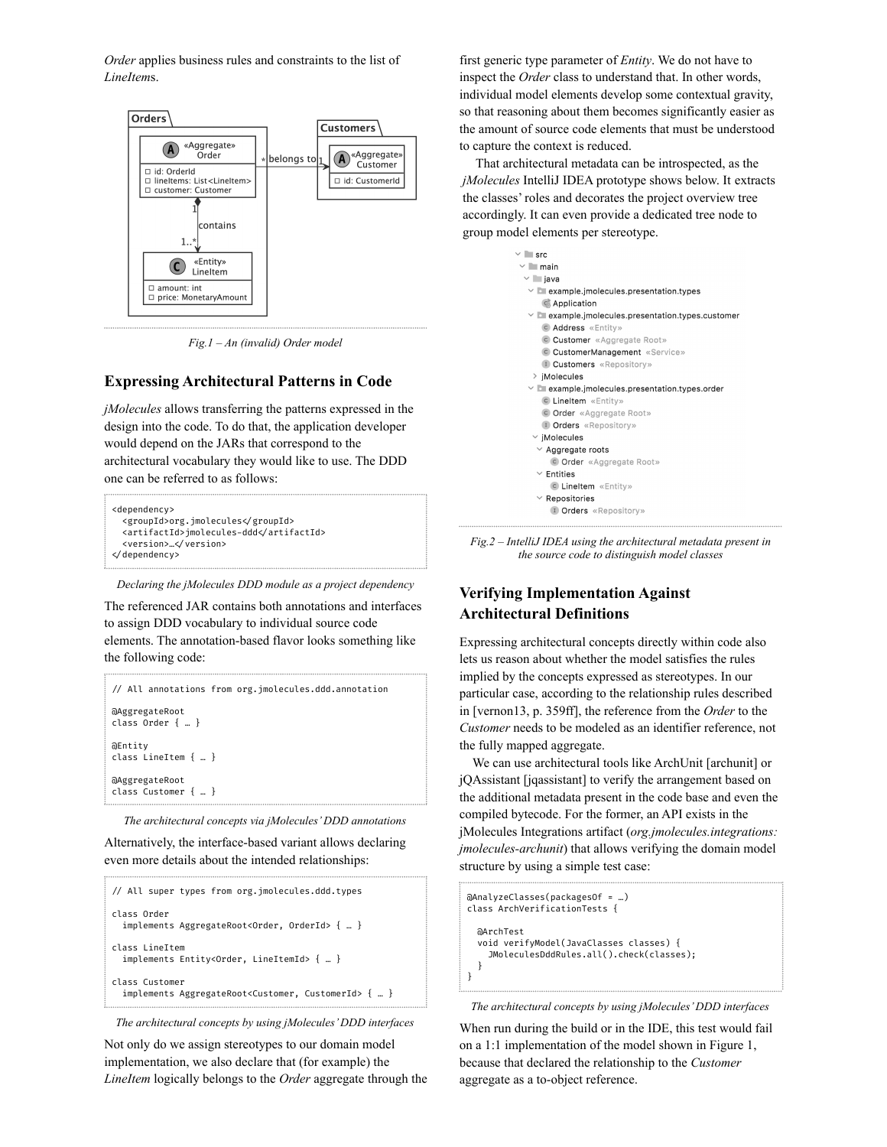*Order* applies business rules and constraints to the list of *LineItem*s.



*Fig.1 – An (invalid) Order model*

### **Expressing Architectural Patterns in Code**

*jMolecules* allows transferring the patterns expressed in the design into the code. To do that, the application developer would depend on the JARs that correspond to the architectural vocabulary they would like to use. The DDD one can be referred to as follows:

```
<dependency>
 <groupId>org.jmolecules</groupId>
 <artifactId>jmolecules-ddd</artifactId>
 <version>…</version>
/dependency>
```
*Declaring the jMolecules DDD module as a project dependency*

The referenced JAR contains both annotations and interfaces to assign DDD vocabulary to individual source code elements. The annotation-based flavor looks something like the following code:

```
/ All annotations from org.jmolecules.ddd.annotation
@AggregateRoot
class Order { … }
@Entity
class LineItem { … }
@AggregateRoot
class Customer { … }
```
*The architectural concepts via jMolecules'DDD annotations*

Alternatively, the interface-based variant allows declaring even more details about the intended relationships:

```
/ All super types from org.jmolecules.ddd.types
class Order
 implements AggregateRoot<Order, OrderId> { … }
class LineItem
  implements Entity<Order, LineItemId> { … }
class Customer
  implements AggregateRoot<Customer, CustomerId> { … }
```
*The architectural concepts by using jMolecules'DDD interfaces*

Not only do we assign stereotypes to our domain model implementation, we also declare that (for example) the *LineItem* logically belongs to the *Order* aggregate through the

first generic type parameter of *Entity*. We do not have to inspect the *Order* class to understand that. In other words, individual model elements develop some contextual gravity, so that reasoning about them becomes significantly easier as the amount of source code elements that must be understood to capture the context is reduced.

That architectural metadata can be introspected, as the *jMolecules* IntelliJ IDEA prototype shows below. It extracts the classes' roles and decorates the project overview tree accordingly. It can even provide a dedicated tree node to group model elements per stereotype.

```
\vee Figure
 \vee main
 \vee \Box java
   \vee D example.jmolecules.presentation.types
      C. Application
   \times L example implecules presentation types customer
      C Address «Entity»
      C Customer «Aggregate Root»
       C CustomerManagement «Service»
      D Customers «Repository»
    > iMolecules
   \vee D example.jmolecules.presentation.types.order
      C LineItem «Entity»
       C Order «Aggregate Root»
      D Orders «Repository»
    \times iMolecules
     \vee Aggregate roots
         C Order «Aggregate Root»
     \vee Entities
        C LineItem «Entity»
     \times Repositories
        D Orders «Repository»
```
*Fig.2 – IntelliJ IDEA using the architectural metadata present in the source code to distinguish model classes*

### **Verifying Implementation Against Architectural Definitions**

Expressing architectural concepts directly within code also lets us reason about whether the model satisfies the rules implied by the concepts expressed as stereotypes. In our particular case, according to the relationship rules described in [vernon13, p. 359ff], the reference from the *Order* to the *Customer* needs to be modeled as an identifier reference, not the fully mapped aggregate.

We can use architectural tools like ArchUnit [archunit] or jQAssistant [jqassistant] to verify the arrangement based on the additional metadata present in the code base and even the compiled bytecode. For the former, an API exists in the jMolecules Integrations artifact (*org.jmolecules.integrations: jmolecules-archunit*) that allows verifying the domain model structure by using a simple test case:

```
@AnalyzeClasses(packagesOf = …)
class ArchVerificationTests {
 @ArchTest
 void verifyModel(JavaClasses classes) {
    JMoleculesDddRules.all().check(classes);
 }
}
```
*The architectural concepts by using jMolecules'DDD interfaces*

When run during the build or in the IDE, this test would fail on a 1:1 implementation of the model shown in Figure 1, because that declared the relationship to the *Customer* aggregate as a to-object reference.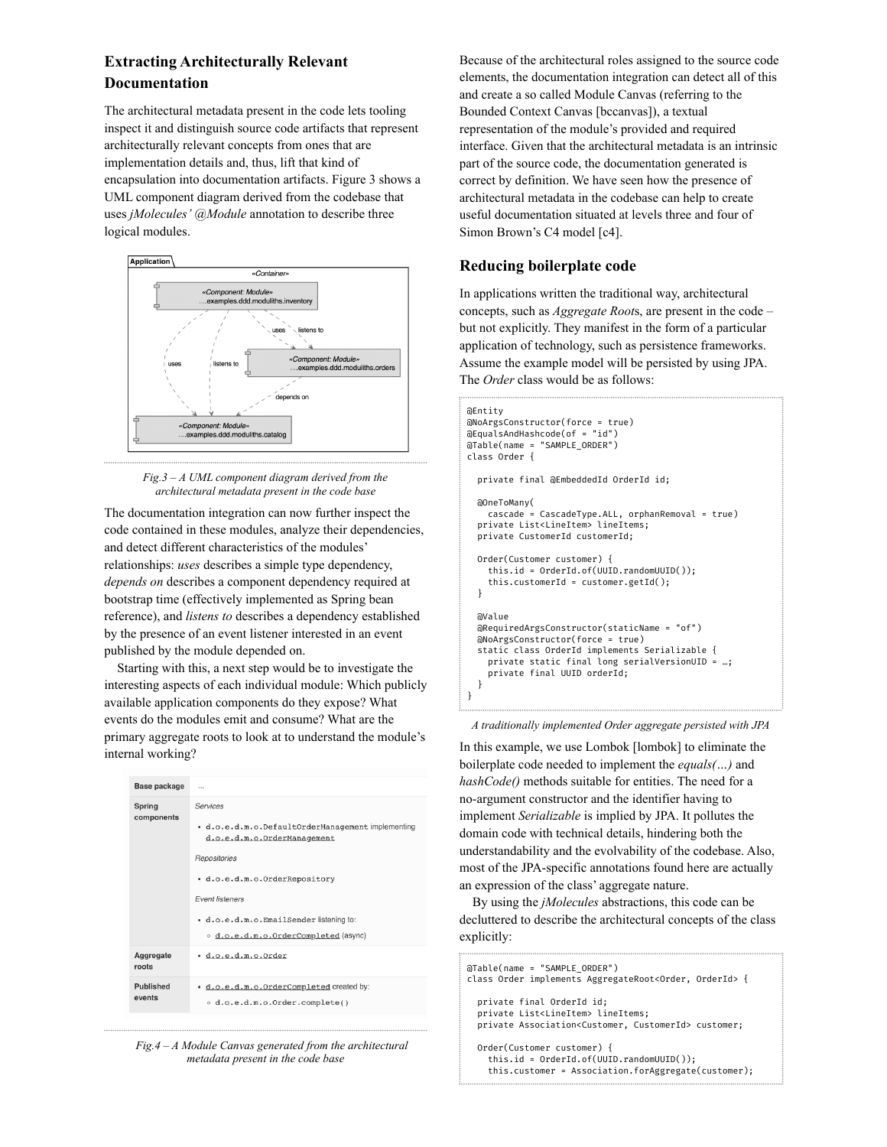### **Extracting Architecturally Relevant Documentation**

The architectural metadata present in the code lets tooling inspect it and distinguish source code artifacts that represent architecturally relevant concepts from ones that are implementation details and, thus, lift that kind of encapsulation into documentation artifacts. Figure 3 shows a UML component diagram derived from the codebase that uses *jMolecules' @Module* annotation to describe three logical modules.



#### *Fig.3 – A UML component diagram derived from the architectural metadata present in the code base*

The documentation integration can now further inspect the code contained in these modules, analyze their dependencies, and detect different characteristics of the modules' relationships: *uses* describes a simple type dependency, *depends on* describes a component dependency required at bootstrap time (effectively implemented as Spring bean reference), and *listens to* describes a dependency established by the presence of an event listener interested in an event published by the module depended on.

Starting with this, a next step would be to investigate the interesting aspects of each individual module: Which publicly available application components do they expose? What events do the modules emit and consume? What are the primary aggregate roots to look at to understand the module's internal working?

| Base package         | $\cdots$                                                                                                                                                                                                                                                   |
|----------------------|------------------------------------------------------------------------------------------------------------------------------------------------------------------------------------------------------------------------------------------------------------|
| Spring<br>components | Services<br>· d.o.e.d.m.o.DefaultOrderManagement implementing<br>d.o.e.d.m.o.OrderManagement<br>Repositories<br>. d.o.e.d.m.o.OrderRepository<br><b>Fvent listeners</b><br>· d.o.e.d.m.o.EmailSender listening to:<br>o d.o.e.d.m.o.OrderCompleted (async) |
| Aggregate<br>roots   | · d.o.e.d.m.o.Order                                                                                                                                                                                                                                        |
| Published<br>events  | · d.o.e.d.m.o.OrderCompleted created by:<br>o d.o.e.d.m.o.Order.complete()                                                                                                                                                                                 |

*Fig.4 – A Module Canvas generated from the architectural metadata present in the code base*

Because of the architectural roles assigned to the source code elements, the documentation integration can detect all of this and create a so called Module Canvas (referring to the Bounded Context Canvas [bccanvas]), a textual representation of the module's provided and required interface. Given that the architectural metadata is an intrinsic part of the source code, the documentation generated is correct by definition. We have seen how the presence of architectural metadata in the codebase can help to create useful documentation situated at levels three and four of Simon Brown's C4 model [c4].

### **Reducing boilerplate code**

In applications written the traditional way, architectural concepts, such as *Aggregate Root*s, are present in the code – but not explicitly. They manifest in the form of a particular application of technology, such as persistence frameworks. Assume the example model will be persisted by using JPA. The *Order* class would be as follows:

#### @Entity @NoArgsConstructor(force = true) @EqualsAndHashcode(of = "id") @Table(name = "SAMPLE\_ORDER") class Order { private final @EmbeddedId OrderId id; @OneToMany( cascade = CascadeType.ALL, orphanRemoval = true) private List<LineItem> lineItems; private CustomerId customerId; Order(Customer customer) { this.id = OrderId.of(UUID.randomUUID()); this.customerId = customer.getId(); } @Value @RequiredArgsConstructor(staticName = "of") @NoArgsConstructor(force = true) static class OrderId implements Serializable { private static final long serialVersionUID = …; private final UUID orderId; } }

#### *A traditionally implemented Order aggregate persisted with JPA*

In this example, we use Lombok [lombok] to eliminate the boilerplate code needed to implement the *equals(…)* and *hashCode()* methods suitable for entities. The need for a no-argument constructor and the identifier having to implement *Serializable* is implied by JPA. It pollutes the domain code with technical details, hindering both the understandability and the evolvability of the codebase. Also, most of the JPA-specific annotations found here are actually an expression of the class' aggregate nature.

By using the *jMolecules* abstractions, this code can be decluttered to describe the architectural concepts of the class explicitly:

```
@Table(name = "SAMPLE_ORDER")
class Order implements AggregateRoot<Order, OrderId> {
  private final OrderId id;
 private List<LineItem> lineItems;
 private Association<Customer, CustomerId> customer;
 Order(Customer customer) {
    this.id = OrderId.of(UUID.randomUUID());
    this.customer = Association.forAggregate(customer);
```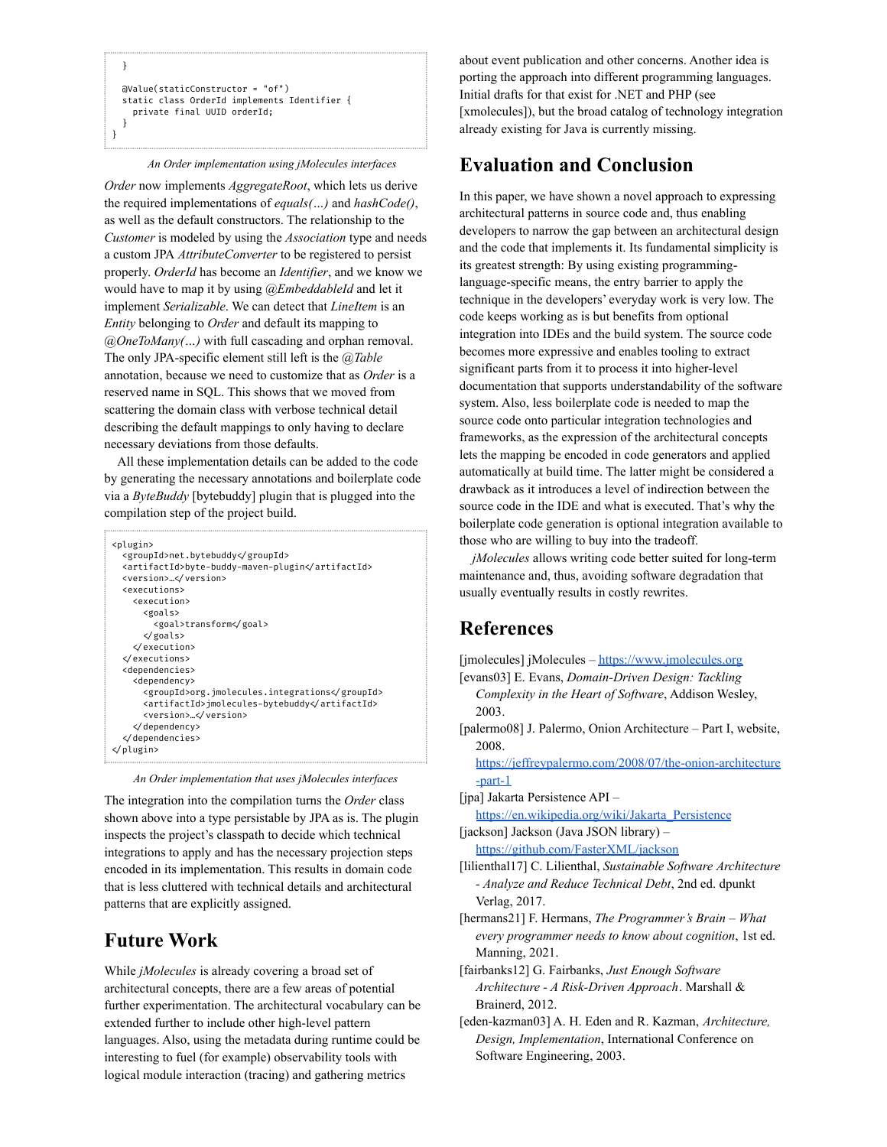```
}
 @Value(staticConstructor = "of")
 static class OrderId implements Identifier {
   private final UUID orderId;
 }
}
```
*An Order implementation using jMolecules interfaces*

*Order* now implements *AggregateRoot*, which lets us derive the required implementations of *equals(…)* and *hashCode()*, as well as the default constructors. The relationship to the *Customer* is modeled by using the *Association* type and needs a custom JPA *AttributeConverter* to be registered to persist properly. *OrderId* has become an *Identifier*, and we know we would have to map it by using *@EmbeddableId* and let it implement *Serializable*. We can detect that *LineItem* is an *Entity* belonging to *Order* and default its mapping to *@OneToMany(…)* with full cascading and orphan removal. The only JPA-specific element still left is the *@Table* annotation, because we need to customize that as *Order* is a reserved name in SQL. This shows that we moved from scattering the domain class with verbose technical detail describing the default mappings to only having to declare necessary deviations from those defaults.

All these implementation details can be added to the code by generating the necessary annotations and boilerplate code via a *ByteBuddy* [bytebuddy] plugin that is plugged into the compilation step of the project build.

| <plugin><br/><groupid>net.bytebuddy</groupid><br/><artifactid>byte-buddy-maven-plugin</artifactid><br/><version></version></plugin>                                                 |
|-------------------------------------------------------------------------------------------------------------------------------------------------------------------------------------|
| <executions></executions>                                                                                                                                                           |
| <execution></execution>                                                                                                                                                             |
| <goals></goals>                                                                                                                                                                     |
| <goal>transform</goal>                                                                                                                                                              |
| $\sqrt{g}$ oals>                                                                                                                                                                    |
| $\checkmark$ execution>                                                                                                                                                             |
| $\checkmark$ executions>                                                                                                                                                            |
| <dependencies></dependencies>                                                                                                                                                       |
| <dependency></dependency>                                                                                                                                                           |
| <groupid>org.jmolecules.integrations</groupid><br><artifactid>jmolecules-bytebuddy</artifactid><br><version></version><br>$\triangleleft$ dependency><br>√dependencies><br>√plugin> |

|  |  | An Order implementation that uses jMolecules interfaces |  |  |  |  |
|--|--|---------------------------------------------------------|--|--|--|--|
|--|--|---------------------------------------------------------|--|--|--|--|

The integration into the compilation turns the *Order* class shown above into a type persistable by JPA as is. The plugin inspects the project's classpath to decide which technical integrations to apply and has the necessary projection steps encoded in its implementation. This results in domain code that is less cluttered with technical details and architectural patterns that are explicitly assigned.

# **Future Work**

While *jMolecules* is already covering a broad set of architectural concepts, there are a few areas of potential further experimentation. The architectural vocabulary can be extended further to include other high-level pattern languages. Also, using the metadata during runtime could be interesting to fuel (for example) observability tools with logical module interaction (tracing) and gathering metrics

about event publication and other concerns. Another idea is porting the approach into different programming languages. Initial drafts for that exist for .NET and PHP (see [xmolecules]), but the broad catalog of technology integration already existing for Java is currently missing.

# **Evaluation and Conclusion**

In this paper, we have shown a novel approach to expressing architectural patterns in source code and, thus enabling developers to narrow the gap between an architectural design and the code that implements it. Its fundamental simplicity is its greatest strength: By using existing programminglanguage-specific means, the entry barrier to apply the technique in the developers' everyday work is very low. The code keeps working as is but benefits from optional integration into IDEs and the build system. The source code becomes more expressive and enables tooling to extract significant parts from it to process it into higher-level documentation that supports understandability of the software system. Also, less boilerplate code is needed to map the source code onto particular integration technologies and frameworks, as the expression of the architectural concepts lets the mapping be encoded in code generators and applied automatically at build time. The latter might be considered a drawback as it introduces a level of indirection between the source code in the IDE and what is executed. That's why the boilerplate code generation is optional integration available to those who are willing to buy into the tradeoff.

*jMolecules* allows writing code better suited for long-term maintenance and, thus, avoiding software degradation that usually eventually results in costly rewrites.

# **References**

[jmolecules] jMolecules – <https://www.jmolecules.org> [evans03] E. Evans, *Domain-Driven Design: Tackling Complexity in the Heart of Software*, Addison Wesley, 2003. [palermo08] J. Palermo, Onion Architecture – Part I, website, 2008. [https://jeffreypalermo.com/2008/07/the-onion-architecture](https://jeffreypalermo.com/2008/07/the-onion-architecture-part-1) [-part-1](https://jeffreypalermo.com/2008/07/the-onion-architecture-part-1) [jpa] Jakarta Persistence API – [https://en.wikipedia.org/wiki/Jakarta\\_Persistence](https://en.wikipedia.org/wiki/Jakarta_Persistence) [jackson] Jackson (Java JSON library) – <https://github.com/FasterXML/jackson> [lilienthal17] C. Lilienthal, *Sustainable Software Architecture - Analyze and Reduce Technical Debt*, 2nd ed. dpunkt Verlag, 2017. [hermans21] F. Hermans, *The Programmer's Brain – What every programmer needs to know about cognition*, 1st ed. Manning, 2021. [fairbanks12] G. Fairbanks, *Just Enough Software*

*Architecture - A Risk-Driven Approach*. Marshall & Brainerd, 2012. [eden-kazman03] A. H. Eden and R. Kazman, *Architecture,*

*Design, Implementation*, International Conference on Software Engineering, 2003.